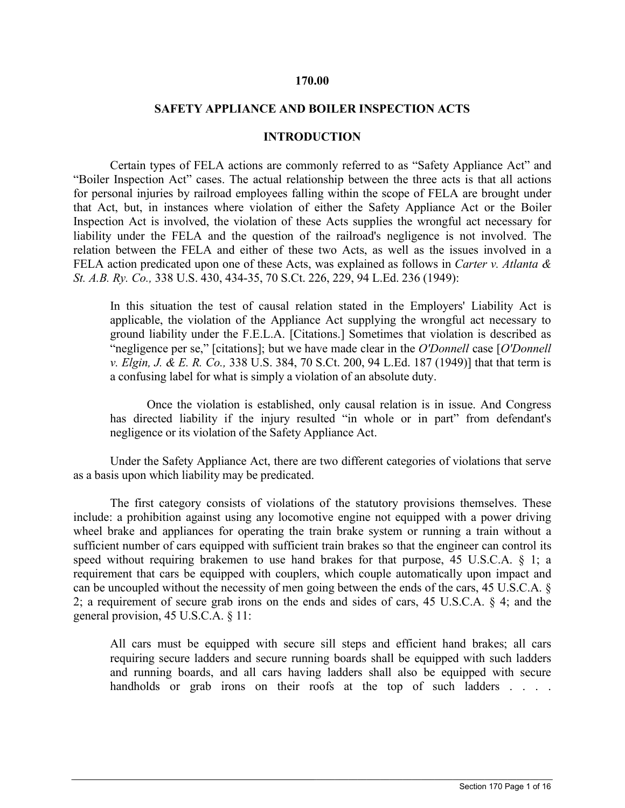### **170.00**

#### **SAFETY APPLIANCE AND BOILER INSPECTION ACTS**

#### **INTRODUCTION**

Certain types of FELA actions are commonly referred to as "Safety Appliance Act" and "Boiler Inspection Act" cases. The actual relationship between the three acts is that all actions for personal injuries by railroad employees falling within the scope of FELA are brought under that Act, but, in instances where violation of either the Safety Appliance Act or the Boiler Inspection Act is involved, the violation of these Acts supplies the wrongful act necessary for liability under the FELA and the question of the railroad's negligence is not involved. The relation between the FELA and either of these two Acts, as well as the issues involved in a FELA action predicated upon one of these Acts, was explained as follows in *Carter v. Atlanta & St. A.B. Ry. Co.,* 338 U.S. 430, 434-35, 70 S.Ct. 226, 229, 94 L.Ed. 236 (1949):

In this situation the test of causal relation stated in the Employers' Liability Act is applicable, the violation of the Appliance Act supplying the wrongful act necessary to ground liability under the F.E.L.A. [Citations.] Sometimes that violation is described as "negligence per se," [citations]; but we have made clear in the *O'Donnell* case [*O'Donnell v. Elgin, J. & E. R. Co.,* 338 U.S. 384, 70 S.Ct. 200, 94 L.Ed. 187 (1949)] that that term is a confusing label for what is simply a violation of an absolute duty.

Once the violation is established, only causal relation is in issue. And Congress has directed liability if the injury resulted "in whole or in part" from defendant's negligence or its violation of the Safety Appliance Act.

Under the Safety Appliance Act, there are two different categories of violations that serve as a basis upon which liability may be predicated.

The first category consists of violations of the statutory provisions themselves. These include: a prohibition against using any locomotive engine not equipped with a power driving wheel brake and appliances for operating the train brake system or running a train without a sufficient number of cars equipped with sufficient train brakes so that the engineer can control its speed without requiring brakemen to use hand brakes for that purpose, 45 U.S.C.A. § 1; a requirement that cars be equipped with couplers, which couple automatically upon impact and can be uncoupled without the necessity of men going between the ends of the cars, 45 U.S.C.A. § 2; a requirement of secure grab irons on the ends and sides of cars, 45 U.S.C.A. § 4; and the general provision, 45 U.S.C.A. § 11:

All cars must be equipped with secure sill steps and efficient hand brakes; all cars requiring secure ladders and secure running boards shall be equipped with such ladders and running boards, and all cars having ladders shall also be equipped with secure handholds or grab irons on their roofs at the top of such ladders . . . .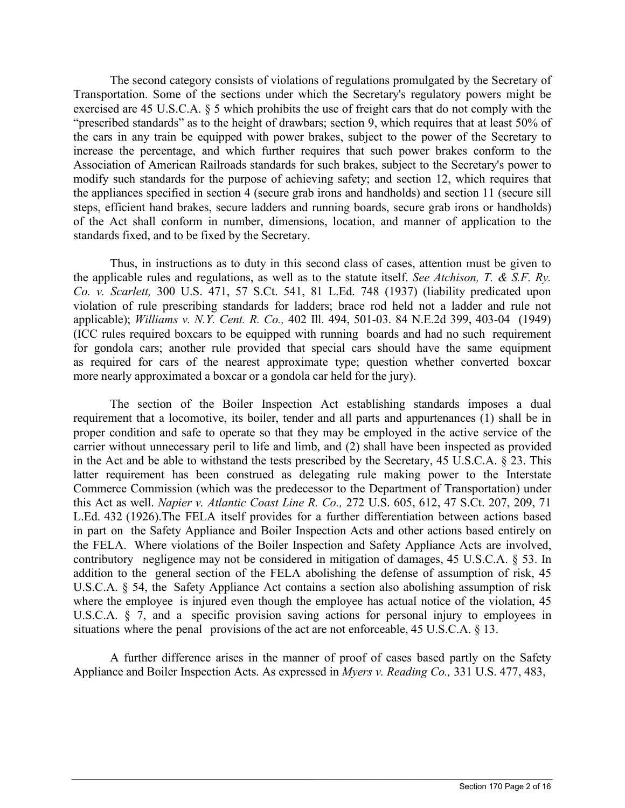The second category consists of violations of regulations promulgated by the Secretary of Transportation. Some of the sections under which the Secretary's regulatory powers might be exercised are 45 U.S.C.A. § 5 which prohibits the use of freight cars that do not comply with the "prescribed standards" as to the height of drawbars; section 9, which requires that at least 50% of the cars in any train be equipped with power brakes, subject to the power of the Secretary to increase the percentage, and which further requires that such power brakes conform to the Association of American Railroads standards for such brakes, subject to the Secretary's power to modify such standards for the purpose of achieving safety; and section 12, which requires that the appliances specified in section 4 (secure grab irons and handholds) and section 11 (secure sill steps, efficient hand brakes, secure ladders and running boards, secure grab irons or handholds) of the Act shall conform in number, dimensions, location, and manner of application to the standards fixed, and to be fixed by the Secretary.

Thus, in instructions as to duty in this second class of cases, attention must be given to the applicable rules and regulations, as well as to the statute itself. *See Atchison, T. & S.F. Ry. Co. v. Scarlett,* 300 U.S. 471, 57 S.Ct. 541, 81 L.Ed. 748 (1937) (liability predicated upon violation of rule prescribing standards for ladders; brace rod held not a ladder and rule not applicable); *Williams v. N.Y. Cent. R. Co.,* 402 Ill. 494, 501-03. 84 N.E.2d 399, 403-04 (1949) (ICC rules required boxcars to be equipped with running boards and had no such requirement for gondola cars; another rule provided that special cars should have the same equipment as required for cars of the nearest approximate type; question whether converted boxcar more nearly approximated a boxcar or a gondola car held for the jury).

The section of the Boiler Inspection Act establishing standards imposes a dual requirement that a locomotive, its boiler, tender and all parts and appurtenances (1) shall be in proper condition and safe to operate so that they may be employed in the active service of the carrier without unnecessary peril to life and limb, and (2) shall have been inspected as provided in the Act and be able to withstand the tests prescribed by the Secretary, 45 U.S.C.A. § 23. This latter requirement has been construed as delegating rule making power to the Interstate Commerce Commission (which was the predecessor to the Department of Transportation) under this Act as well. *Napier v. Atlantic Coast Line R. Co.,* 272 U.S. 605, 612, 47 S.Ct. 207, 209, 71 L.Ed. 432 (1926).The FELA itself provides for a further differentiation between actions based in part on the Safety Appliance and Boiler Inspection Acts and other actions based entirely on the FELA. Where violations of the Boiler Inspection and Safety Appliance Acts are involved, contributory negligence may not be considered in mitigation of damages, 45 U.S.C.A. § 53. In addition to the general section of the FELA abolishing the defense of assumption of risk, 45 U.S.C.A. § 54, the Safety Appliance Act contains a section also abolishing assumption of risk where the employee is injured even though the employee has actual notice of the violation, 45 U.S.C.A. § 7, and a specific provision saving actions for personal injury to employees in situations where the penal provisions of the act are not enforceable, 45 U.S.C.A. § 13.

A further difference arises in the manner of proof of cases based partly on the Safety Appliance and Boiler Inspection Acts. As expressed in *Myers v. Reading Co.,* 331 U.S. 477, 483,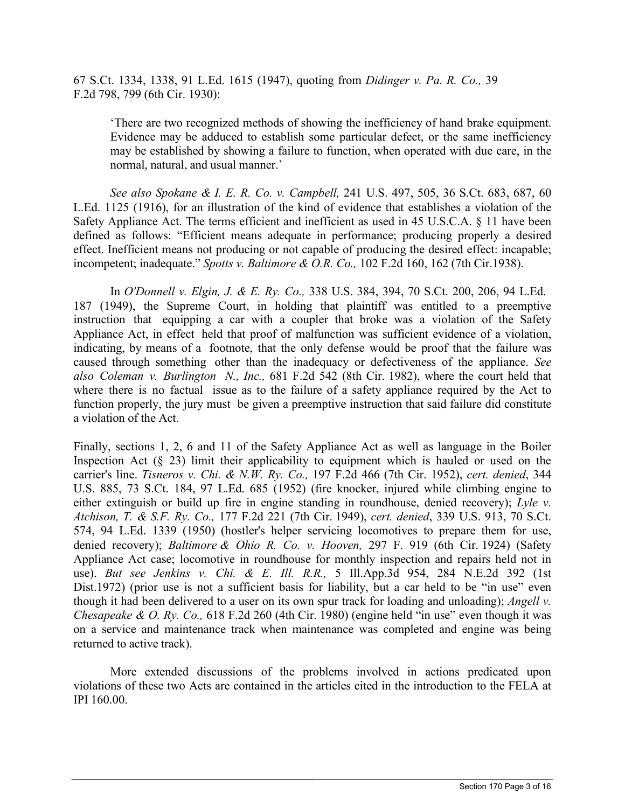67 S.Ct. 1334, 1338, 91 L.Ed. 1615 (1947), quoting from *Didinger v. Pa. R. Co.,* 39 F.2d 798, 799 (6th Cir. 1930):

'There are two recognized methods of showing the inefficiency of hand brake equipment. Evidence may be adduced to establish some particular defect, or the same inefficiency may be established by showing a failure to function, when operated with due care, in the normal, natural, and usual manner.'

*See also Spokane & I. E. R. Co. v. Campbell,* 241 U.S. 497, 505, 36 S.Ct. 683, 687, 60 L.Ed. 1125 (1916), for an illustration of the kind of evidence that establishes a violation of the Safety Appliance Act. The terms efficient and inefficient as used in 45 U.S.C.A. § 11 have been defined as follows: "Efficient means adequate in performance; producing properly a desired effect. Inefficient means not producing or not capable of producing the desired effect: incapable; incompetent; inadequate." *Spotts v. Baltimore & O.R. Co.,* 102 F.2d 160, 162 (7th Cir.1938).

In *O'Donnell v. Elgin, J. & E. Ry. Co.,* 338 U.S. 384, 394, 70 S.Ct. 200, 206, 94 L.Ed. 187 (1949), the Supreme Court, in holding that plaintiff was entitled to a preemptive instruction that equipping a car with a coupler that broke was a violation of the Safety Appliance Act, in effect held that proof of malfunction was sufficient evidence of a violation, indicating, by means of a footnote, that the only defense would be proof that the failure was caused through something other than the inadequacy or defectiveness of the appliance. *See also Coleman v. Burlington N., Inc.,* 681 F.2d 542 (8th Cir. 1982), where the court held that where there is no factual issue as to the failure of a safety appliance required by the Act to function properly, the jury must be given a preemptive instruction that said failure did constitute a violation of the Act.

Finally, sections 1, 2, 6 and 11 of the Safety Appliance Act as well as language in the Boiler Inspection Act  $(\S 23)$  limit their applicability to equipment which is hauled or used on the carrier's line. *Tisneros v. Chi. & N.W. Ry. Co.,* 197 F.2d 466 (7th Cir. 1952), *cert. denied*, 344 U.S. 885, 73 S.Ct. 184, 97 L.Ed. 685 (1952) (fire knocker, injured while climbing engine to either extinguish or build up fire in engine standing in roundhouse, denied recovery); *Lyle v. Atchison, T. & S.F. Ry. Co.,* 177 F.2d 221 (7th Cir. 1949), *cert. denied*, 339 U.S. 913, 70 S.Ct. 574, 94 L.Ed. 1339 (1950) (hostler's helper servicing locomotives to prepare them for use, denied recovery); *Baltimore & Ohio R. Co. v. Hooven,* 297 F. 919 (6th Cir. 1924) (Safety Appliance Act case; locomotive in roundhouse for monthly inspection and repairs held not in use). *But see Jenkins v. Chi. & E. Ill. R.R.,* 5 Ill.App.3d 954, 284 N.E.2d 392 (1st Dist.1972) (prior use is not a sufficient basis for liability, but a car held to be "in use" even though it had been delivered to a user on its own spur track for loading and unloading); *Angell v. Chesapeake & O. Ry. Co.,* 618 F.2d 260 (4th Cir. 1980) (engine held "in use" even though it was on a service and maintenance track when maintenance was completed and engine was being returned to active track).

More extended discussions of the problems involved in actions predicated upon violations of these two Acts are contained in the articles cited in the introduction to the FELA at IPI 160.00.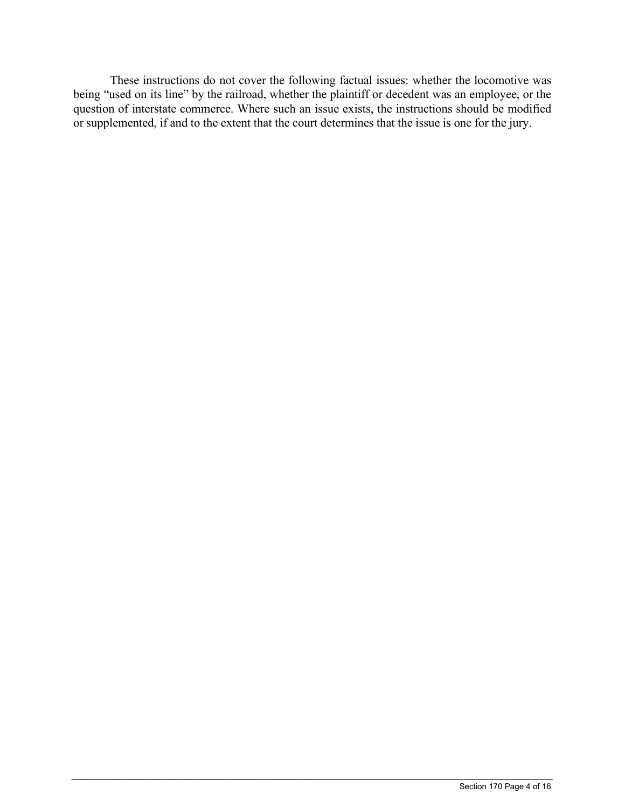These instructions do not cover the following factual issues: whether the locomotive was being "used on its line" by the railroad, whether the plaintiff or decedent was an employee, or the question of interstate commerce. Where such an issue exists, the instructions should be modified or supplemented, if and to the extent that the court determines that the issue is one for the jury.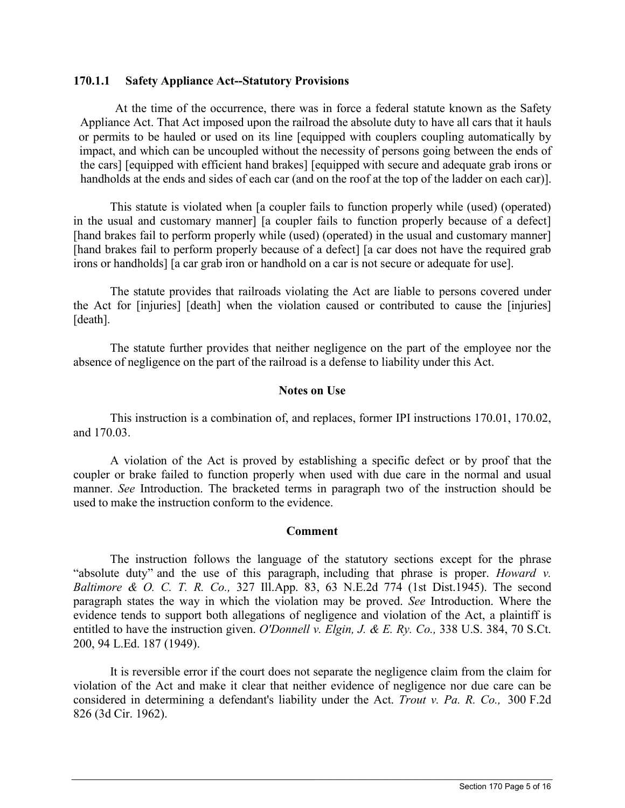### **170.1.1 Safety Appliance Act--Statutory Provisions**

At the time of the occurrence, there was in force a federal statute known as the Safety Appliance Act. That Act imposed upon the railroad the absolute duty to have all cars that it hauls or permits to be hauled or used on its line [equipped with couplers coupling automatically by impact, and which can be uncoupled without the necessity of persons going between the ends of the cars] [equipped with efficient hand brakes] [equipped with secure and adequate grab irons or handholds at the ends and sides of each car (and on the roof at the top of the ladder on each car)].

This statute is violated when [a coupler fails to function properly while (used) (operated) in the usual and customary manner] [a coupler fails to function properly because of a defect] [hand brakes fail to perform properly while (used) (operated) in the usual and customary manner] [hand brakes fail to perform properly because of a defect] [a car does not have the required grab irons or handholds] [a car grab iron or handhold on a car is not secure or adequate for use].

The statute provides that railroads violating the Act are liable to persons covered under the Act for [injuries] [death] when the violation caused or contributed to cause the [injuries] [death].

The statute further provides that neither negligence on the part of the employee nor the absence of negligence on the part of the railroad is a defense to liability under this Act.

## **Notes on Use**

This instruction is a combination of, and replaces, former IPI instructions 170.01, 170.02, and 170.03.

A violation of the Act is proved by establishing a specific defect or by proof that the coupler or brake failed to function properly when used with due care in the normal and usual manner. *See* Introduction. The bracketed terms in paragraph two of the instruction should be used to make the instruction conform to the evidence.

### **Comment**

The instruction follows the language of the statutory sections except for the phrase "absolute duty" and the use of this paragraph, including that phrase is proper. *Howard v. Baltimore & O. C. T. R. Co.,* 327 Ill.App. 83, 63 N.E.2d 774 (1st Dist.1945). The second paragraph states the way in which the violation may be proved. *See* Introduction. Where the evidence tends to support both allegations of negligence and violation of the Act, a plaintiff is entitled to have the instruction given. *O'Donnell v. Elgin, J. & E. Ry. Co.,* 338 U.S. 384, 70 S.Ct. 200, 94 L.Ed. 187 (1949).

It is reversible error if the court does not separate the negligence claim from the claim for violation of the Act and make it clear that neither evidence of negligence nor due care can be considered in determining a defendant's liability under the Act. *Trout v. Pa. R. Co.,* 300 F.2d 826 (3d Cir. 1962).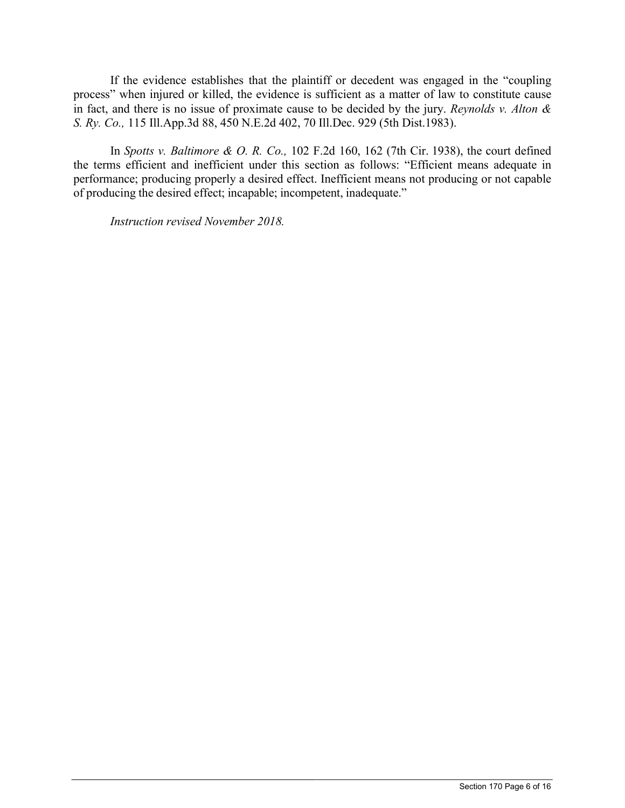If the evidence establishes that the plaintiff or decedent was engaged in the "coupling process" when injured or killed, the evidence is sufficient as a matter of law to constitute cause in fact, and there is no issue of proximate cause to be decided by the jury. *Reynolds v. Alton & S. Ry. Co.,* 115 Ill.App.3d 88, 450 N.E.2d 402, 70 Ill.Dec. 929 (5th Dist.1983).

In *Spotts v. Baltimore & O. R. Co.,* 102 F.2d 160, 162 (7th Cir. 1938), the court defined the terms efficient and inefficient under this section as follows: "Efficient means adequate in performance; producing properly a desired effect. Inefficient means not producing or not capable of producing the desired effect; incapable; incompetent, inadequate."

 $\_$  ,  $\_$  ,  $\_$  ,  $\_$  ,  $\_$  ,  $\_$  ,  $\_$  ,  $\_$  ,  $\_$  ,  $\_$  ,  $\_$  ,  $\_$  ,  $\_$  ,  $\_$  ,  $\_$  ,  $\_$  ,  $\_$  ,  $\_$  ,  $\_$  ,  $\_$  ,  $\_$  ,  $\_$  ,  $\_$  ,  $\_$  ,  $\_$  ,  $\_$  ,  $\_$  ,  $\_$  ,  $\_$  ,  $\_$  ,  $\_$  ,  $\_$  ,  $\_$  ,  $\_$  ,  $\_$  ,  $\_$  ,  $\_$  ,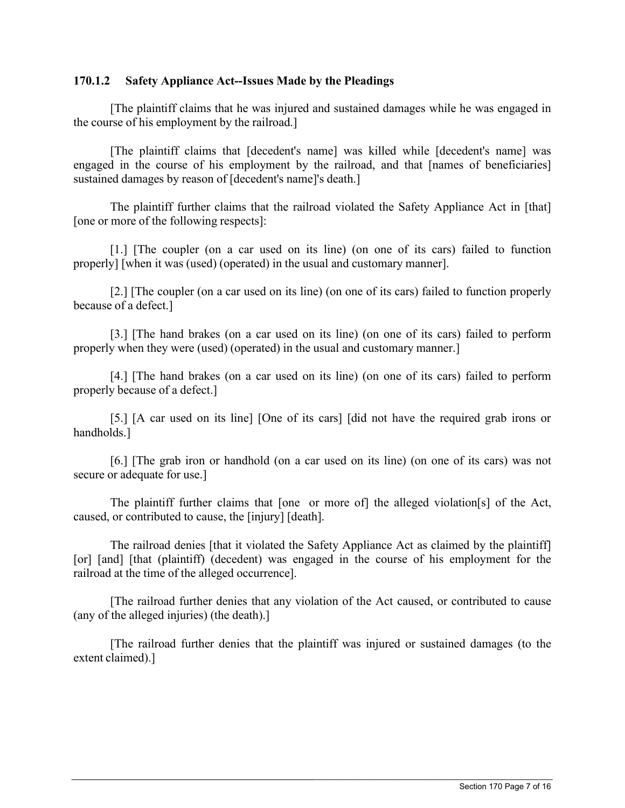## **170.1.2 Safety Appliance Act--Issues Made by the Pleadings**

[The plaintiff claims that he was injured and sustained damages while he was engaged in the course of his employment by the railroad.]

[The plaintiff claims that [decedent's name] was killed while [decedent's name] was engaged in the course of his employment by the railroad, and that [names of beneficiaries] sustained damages by reason of [decedent's name]'s death.]

The plaintiff further claims that the railroad violated the Safety Appliance Act in [that] [one or more of the following respects]:

[1.] [The coupler (on a car used on its line) (on one of its cars) failed to function properly] [when it was (used) (operated) in the usual and customary manner].

[2.] [The coupler (on a car used on its line) (on one of its cars) failed to function properly because of a defect.]

[3.] [The hand brakes (on a car used on its line) (on one of its cars) failed to perform properly when they were (used) (operated) in the usual and customary manner.]

[4.] [The hand brakes (on a car used on its line) (on one of its cars) failed to perform properly because of a defect.]

[5.] [A car used on its line] [One of its cars] [did not have the required grab irons or handholds.]

[6.] [The grab iron or handhold (on a car used on its line) (on one of its cars) was not secure or adequate for use.]

The plaintiff further claims that [one or more of] the alleged violation[s] of the Act, caused, or contributed to cause, the [injury] [death].

The railroad denies [that it violated the Safety Appliance Act as claimed by the plaintiff] [or] [and] [that (plaintiff) (decedent) was engaged in the course of his employment for the railroad at the time of the alleged occurrence].

[The railroad further denies that any violation of the Act caused, or contributed to cause (any of the alleged injuries) (the death).]

[The railroad further denies that the plaintiff was injured or sustained damages (to the extent claimed).]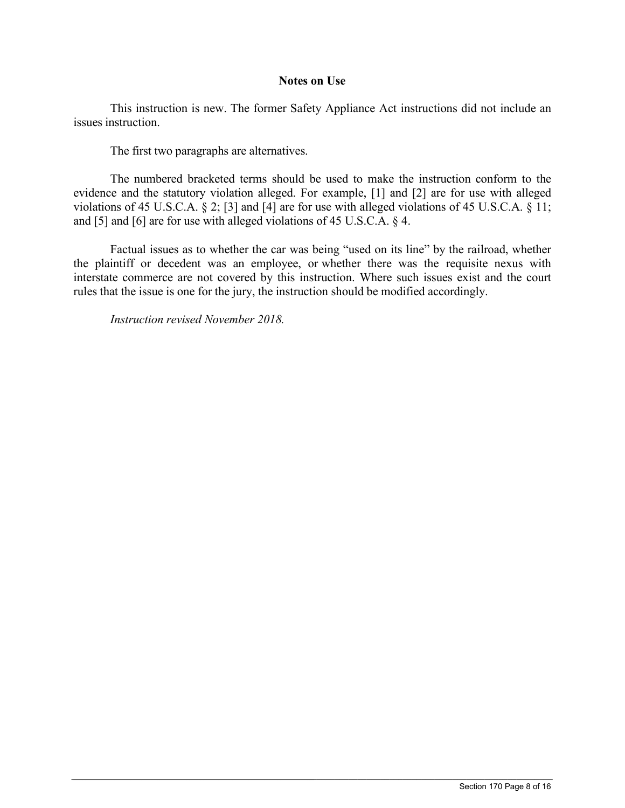### **Notes on Use**

This instruction is new. The former Safety Appliance Act instructions did not include an issues instruction.

The first two paragraphs are alternatives.

The numbered bracketed terms should be used to make the instruction conform to the evidence and the statutory violation alleged. For example, [1] and [2] are for use with alleged violations of 45 U.S.C.A. § 2; [3] and [4] are for use with alleged violations of 45 U.S.C.A. § 11; and [5] and [6] are for use with alleged violations of 45 U.S.C.A. § 4.

Factual issues as to whether the car was being "used on its line" by the railroad, whether the plaintiff or decedent was an employee, or whether there was the requisite nexus with interstate commerce are not covered by this instruction. Where such issues exist and the court rules that the issue is one for the jury, the instruction should be modified accordingly.

 $\_$  ,  $\_$  ,  $\_$  ,  $\_$  ,  $\_$  ,  $\_$  ,  $\_$  ,  $\_$  ,  $\_$  ,  $\_$  ,  $\_$  ,  $\_$  ,  $\_$  ,  $\_$  ,  $\_$  ,  $\_$  ,  $\_$  ,  $\_$  ,  $\_$  ,  $\_$  ,  $\_$  ,  $\_$  ,  $\_$  ,  $\_$  ,  $\_$  ,  $\_$  ,  $\_$  ,  $\_$  ,  $\_$  ,  $\_$  ,  $\_$  ,  $\_$  ,  $\_$  ,  $\_$  ,  $\_$  ,  $\_$  ,  $\_$  ,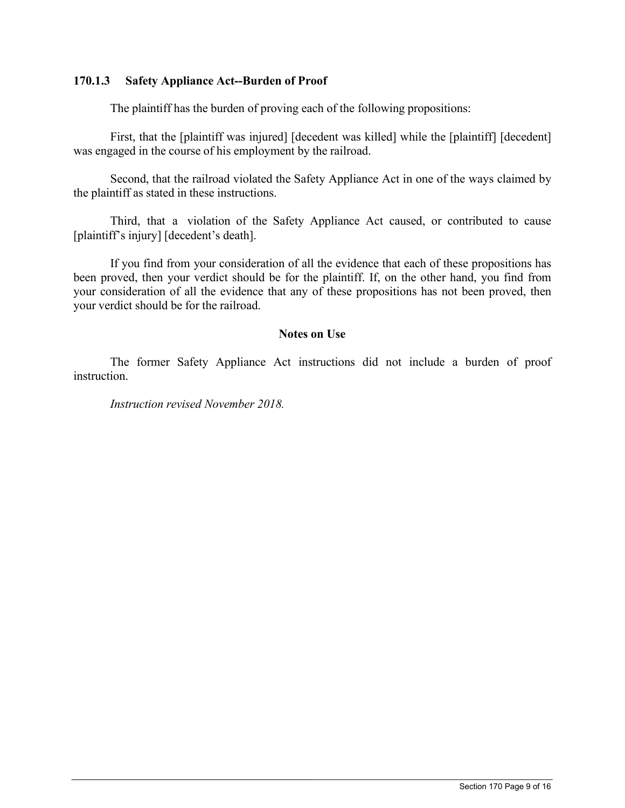## **170.1.3 Safety Appliance Act--Burden of Proof**

The plaintiff has the burden of proving each of the following propositions:

First, that the [plaintiff was injured] [decedent was killed] while the [plaintiff] [decedent] was engaged in the course of his employment by the railroad.

Second, that the railroad violated the Safety Appliance Act in one of the ways claimed by the plaintiff as stated in these instructions.

Third, that a violation of the Safety Appliance Act caused, or contributed to cause [plaintiff's injury] [decedent's death].

If you find from your consideration of all the evidence that each of these propositions has been proved, then your verdict should be for the plaintiff. If, on the other hand, you find from your consideration of all the evidence that any of these propositions has not been proved, then your verdict should be for the railroad.

## **Notes on Use**

The former Safety Appliance Act instructions did not include a burden of proof instruction.

 $\_$  ,  $\_$  ,  $\_$  ,  $\_$  ,  $\_$  ,  $\_$  ,  $\_$  ,  $\_$  ,  $\_$  ,  $\_$  ,  $\_$  ,  $\_$  ,  $\_$  ,  $\_$  ,  $\_$  ,  $\_$  ,  $\_$  ,  $\_$  ,  $\_$  ,  $\_$  ,  $\_$  ,  $\_$  ,  $\_$  ,  $\_$  ,  $\_$  ,  $\_$  ,  $\_$  ,  $\_$  ,  $\_$  ,  $\_$  ,  $\_$  ,  $\_$  ,  $\_$  ,  $\_$  ,  $\_$  ,  $\_$  ,  $\_$  ,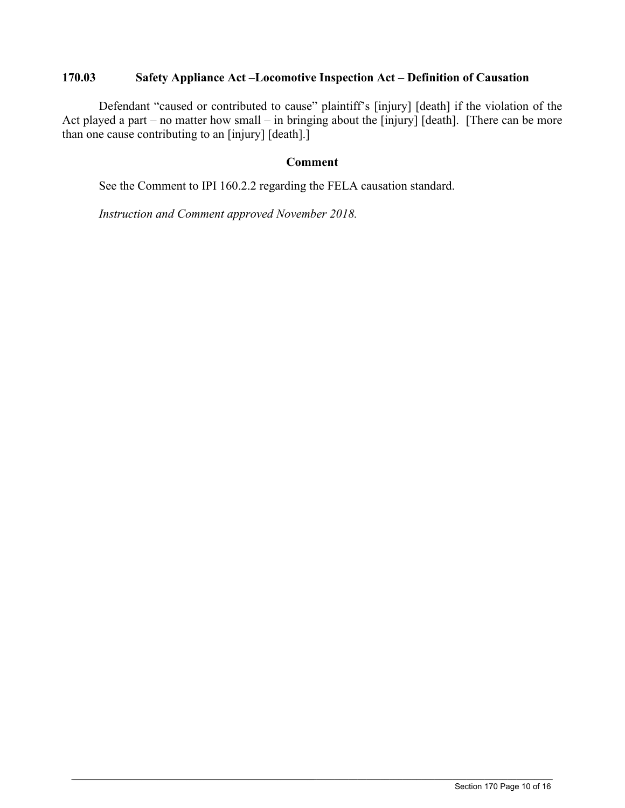# **170.03 Safety Appliance Act –Locomotive Inspection Act – Definition of Causation**

Defendant "caused or contributed to cause" plaintiff's [injury] [death] if the violation of the Act played a part – no matter how small – in bringing about the [injury] [death]. [There can be more than one cause contributing to an [injury] [death].]

## **Comment**

 $\_$  ,  $\_$  ,  $\_$  ,  $\_$  ,  $\_$  ,  $\_$  ,  $\_$  ,  $\_$  ,  $\_$  ,  $\_$  ,  $\_$  ,  $\_$  ,  $\_$  ,  $\_$  ,  $\_$  ,  $\_$  ,  $\_$  ,  $\_$  ,  $\_$  ,  $\_$  ,  $\_$  ,  $\_$  ,  $\_$  ,  $\_$  ,  $\_$  ,  $\_$  ,  $\_$  ,  $\_$  ,  $\_$  ,  $\_$  ,  $\_$  ,  $\_$  ,  $\_$  ,  $\_$  ,  $\_$  ,  $\_$  ,  $\_$  ,

See the Comment to IPI 160.2.2 regarding the FELA causation standard.

*Instruction and Comment approved November 2018.*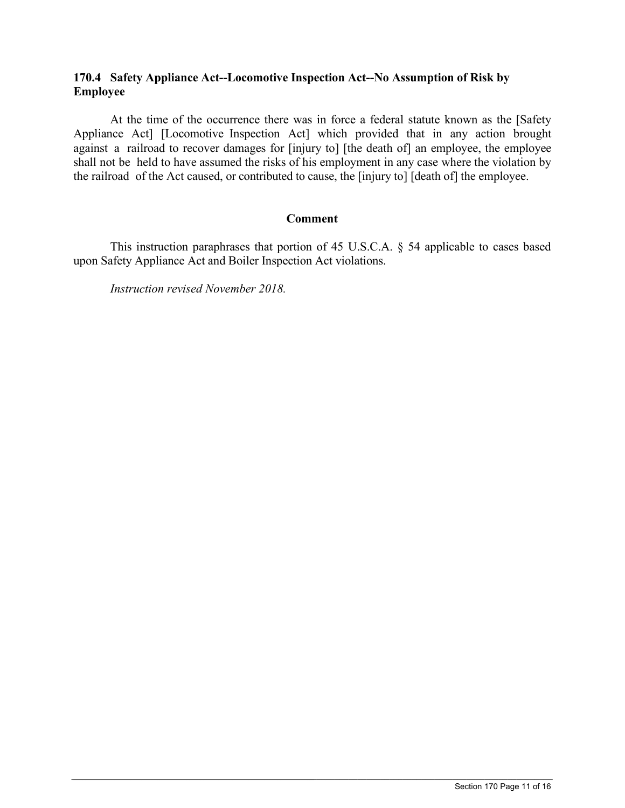# **170.4 Safety Appliance Act--Locomotive Inspection Act--No Assumption of Risk by Employee**

At the time of the occurrence there was in force a federal statute known as the [Safety Appliance Act] [Locomotive Inspection Act] which provided that in any action brought against a railroad to recover damages for [injury to] [the death of] an employee, the employee shall not be held to have assumed the risks of his employment in any case where the violation by the railroad of the Act caused, or contributed to cause, the [injury to] [death of] the employee.

## **Comment**

This instruction paraphrases that portion of 45 U.S.C.A. § 54 applicable to cases based upon Safety Appliance Act and Boiler Inspection Act violations.

 $\_$  ,  $\_$  ,  $\_$  ,  $\_$  ,  $\_$  ,  $\_$  ,  $\_$  ,  $\_$  ,  $\_$  ,  $\_$  ,  $\_$  ,  $\_$  ,  $\_$  ,  $\_$  ,  $\_$  ,  $\_$  ,  $\_$  ,  $\_$  ,  $\_$  ,  $\_$  ,  $\_$  ,  $\_$  ,  $\_$  ,  $\_$  ,  $\_$  ,  $\_$  ,  $\_$  ,  $\_$  ,  $\_$  ,  $\_$  ,  $\_$  ,  $\_$  ,  $\_$  ,  $\_$  ,  $\_$  ,  $\_$  ,  $\_$  ,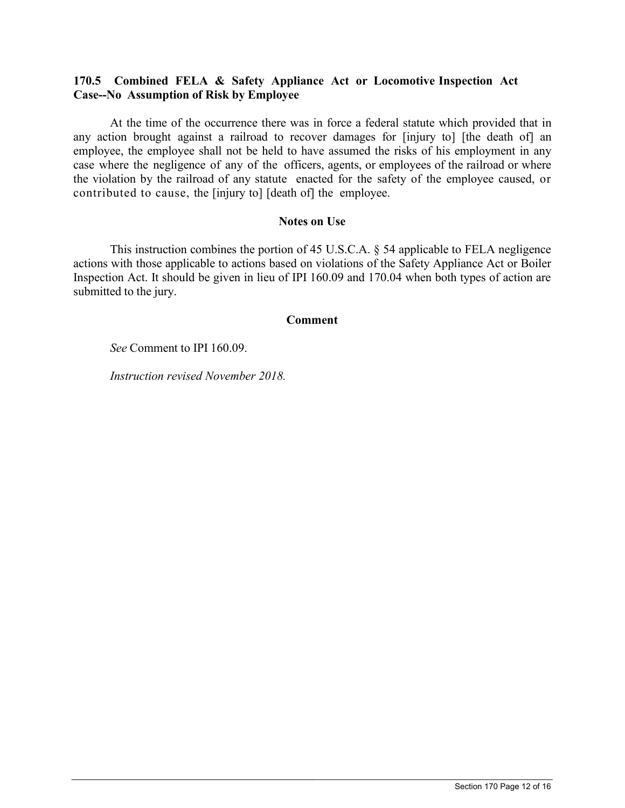# **170.5 Combined FELA & Safety Appliance Act or Locomotive Inspection Act Case--No Assumption of Risk by Employee**

At the time of the occurrence there was in force a federal statute which provided that in any action brought against a railroad to recover damages for [injury to] [the death of] an employee, the employee shall not be held to have assumed the risks of his employment in any case where the negligence of any of the officers, agents, or employees of the railroad or where the violation by the railroad of any statute enacted for the safety of the employee caused, or contributed to cause, the [injury to] [death of] the employee.

## **Notes on Use**

This instruction combines the portion of 45 U.S.C.A. § 54 applicable to FELA negligence actions with those applicable to actions based on violations of the Safety Appliance Act or Boiler Inspection Act. It should be given in lieu of IPI 160.09 and 170.04 when both types of action are submitted to the jury.

### **Comment**

 $\_$  ,  $\_$  ,  $\_$  ,  $\_$  ,  $\_$  ,  $\_$  ,  $\_$  ,  $\_$  ,  $\_$  ,  $\_$  ,  $\_$  ,  $\_$  ,  $\_$  ,  $\_$  ,  $\_$  ,  $\_$  ,  $\_$  ,  $\_$  ,  $\_$  ,  $\_$  ,  $\_$  ,  $\_$  ,  $\_$  ,  $\_$  ,  $\_$  ,  $\_$  ,  $\_$  ,  $\_$  ,  $\_$  ,  $\_$  ,  $\_$  ,  $\_$  ,  $\_$  ,  $\_$  ,  $\_$  ,  $\_$  ,  $\_$  ,

*See* Comment to IPI 160.09.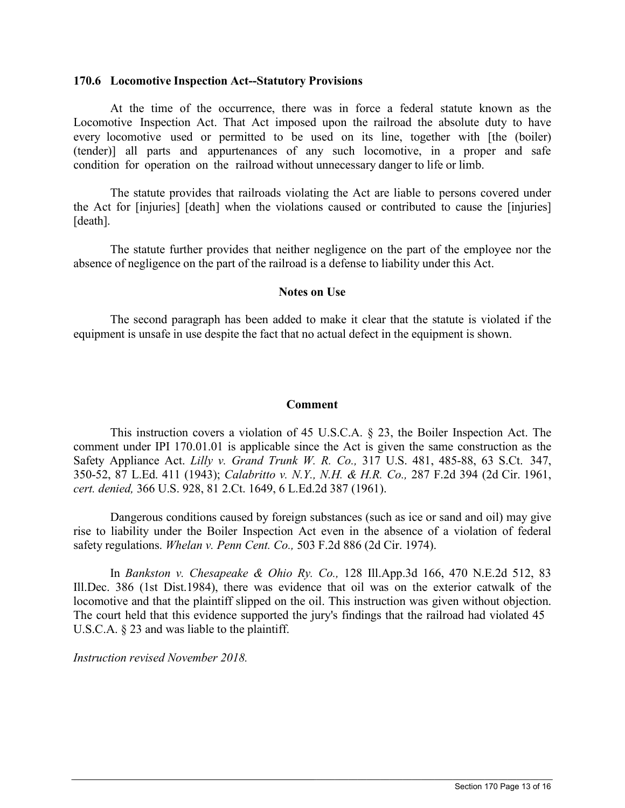### **170.6 Locomotive Inspection Act--Statutory Provisions**

At the time of the occurrence, there was in force a federal statute known as the Locomotive Inspection Act. That Act imposed upon the railroad the absolute duty to have every locomotive used or permitted to be used on its line, together with [the (boiler) (tender)] all parts and appurtenances of any such locomotive, in a proper and safe condition for operation on the railroad without unnecessary danger to life or limb.

The statute provides that railroads violating the Act are liable to persons covered under the Act for [injuries] [death] when the violations caused or contributed to cause the [injuries] [death].

The statute further provides that neither negligence on the part of the employee nor the absence of negligence on the part of the railroad is a defense to liability under this Act.

### **Notes on Use**

The second paragraph has been added to make it clear that the statute is violated if the equipment is unsafe in use despite the fact that no actual defect in the equipment is shown.

### **Comment**

This instruction covers a violation of 45 U.S.C.A. § 23, the Boiler Inspection Act. The comment under IPI 170.01.01 is applicable since the Act is given the same construction as the Safety Appliance Act. *Lilly v. Grand Trunk W. R. Co.,* 317 U.S. 481, 485-88, 63 S.Ct. 347, 350-52, 87 L.Ed. 411 (1943); *Calabritto v. N.Y., N.H. & H.R. Co.,* 287 F.2d 394 (2d Cir. 1961, *cert. denied,* 366 U.S. 928, 81 2.Ct. 1649, 6 L.Ed.2d 387 (1961).

Dangerous conditions caused by foreign substances (such as ice or sand and oil) may give rise to liability under the Boiler Inspection Act even in the absence of a violation of federal safety regulations. *Whelan v. Penn Cent. Co.,* 503 F.2d 886 (2d Cir. 1974).

In *Bankston v. Chesapeake & Ohio Ry. Co.,* 128 Ill.App.3d 166, 470 N.E.2d 512, 83 Ill.Dec. 386 (1st Dist.1984), there was evidence that oil was on the exterior catwalk of the locomotive and that the plaintiff slipped on the oil. This instruction was given without objection. The court held that this evidence supported the jury's findings that the railroad had violated 45 U.S.C.A. § 23 and was liable to the plaintiff.

 $\_$  ,  $\_$  ,  $\_$  ,  $\_$  ,  $\_$  ,  $\_$  ,  $\_$  ,  $\_$  ,  $\_$  ,  $\_$  ,  $\_$  ,  $\_$  ,  $\_$  ,  $\_$  ,  $\_$  ,  $\_$  ,  $\_$  ,  $\_$  ,  $\_$  ,  $\_$  ,  $\_$  ,  $\_$  ,  $\_$  ,  $\_$  ,  $\_$  ,  $\_$  ,  $\_$  ,  $\_$  ,  $\_$  ,  $\_$  ,  $\_$  ,  $\_$  ,  $\_$  ,  $\_$  ,  $\_$  ,  $\_$  ,  $\_$  ,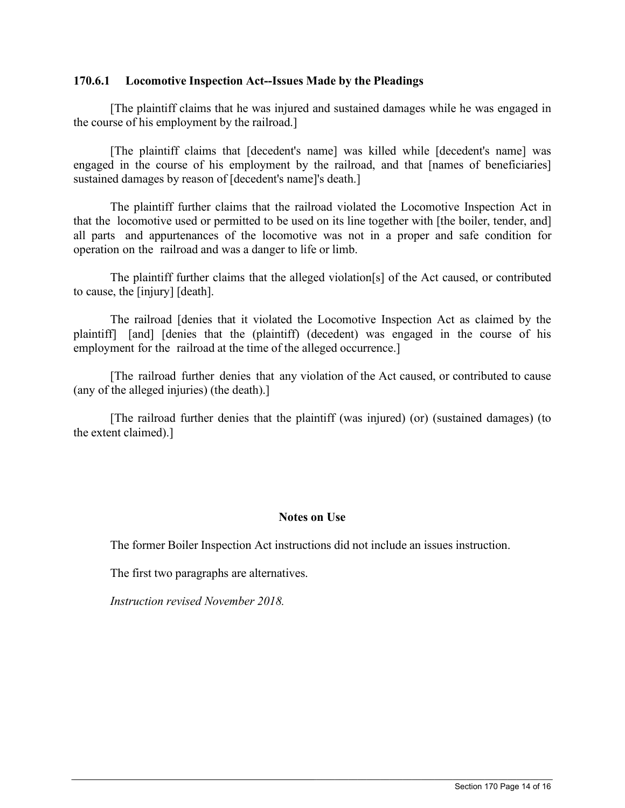## **170.6.1 Locomotive Inspection Act--Issues Made by the Pleadings**

[The plaintiff claims that he was injured and sustained damages while he was engaged in the course of his employment by the railroad.]

[The plaintiff claims that [decedent's name] was killed while [decedent's name] was engaged in the course of his employment by the railroad, and that [names of beneficiaries] sustained damages by reason of [decedent's name]'s death.]

The plaintiff further claims that the railroad violated the Locomotive Inspection Act in that the locomotive used or permitted to be used on its line together with [the boiler, tender, and] all parts and appurtenances of the locomotive was not in a proper and safe condition for operation on the railroad and was a danger to life or limb.

The plaintiff further claims that the alleged violation[s] of the Act caused, or contributed to cause, the [injury] [death].

The railroad [denies that it violated the Locomotive Inspection Act as claimed by the plaintiff] [and] [denies that the (plaintiff) (decedent) was engaged in the course of his employment for the railroad at the time of the alleged occurrence.

[The railroad further denies that any violation of the Act caused, or contributed to cause (any of the alleged injuries) (the death).]

[The railroad further denies that the plaintiff (was injured) (or) (sustained damages) (to the extent claimed).]

# **Notes on Use**

The former Boiler Inspection Act instructions did not include an issues instruction.

 $\_$  ,  $\_$  ,  $\_$  ,  $\_$  ,  $\_$  ,  $\_$  ,  $\_$  ,  $\_$  ,  $\_$  ,  $\_$  ,  $\_$  ,  $\_$  ,  $\_$  ,  $\_$  ,  $\_$  ,  $\_$  ,  $\_$  ,  $\_$  ,  $\_$  ,  $\_$  ,  $\_$  ,  $\_$  ,  $\_$  ,  $\_$  ,  $\_$  ,  $\_$  ,  $\_$  ,  $\_$  ,  $\_$  ,  $\_$  ,  $\_$  ,  $\_$  ,  $\_$  ,  $\_$  ,  $\_$  ,  $\_$  ,  $\_$  ,

The first two paragraphs are alternatives.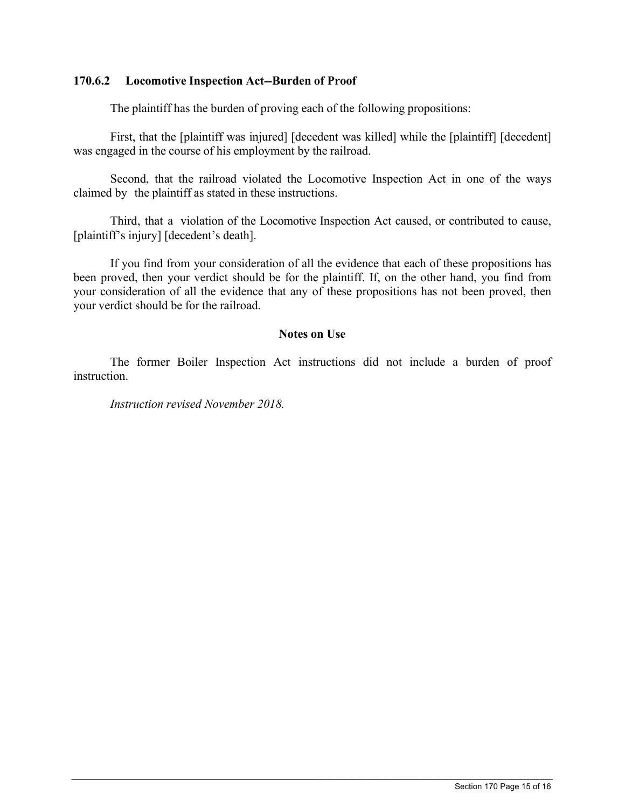## **170.6.2 Locomotive Inspection Act--Burden of Proof**

The plaintiff has the burden of proving each of the following propositions:

First, that the [plaintiff was injured] [decedent was killed] while the [plaintiff] [decedent] was engaged in the course of his employment by the railroad.

Second, that the railroad violated the Locomotive Inspection Act in one of the ways claimed by the plaintiff as stated in these instructions.

Third, that a violation of the Locomotive Inspection Act caused, or contributed to cause, [plaintiff's injury] [decedent's death].

If you find from your consideration of all the evidence that each of these propositions has been proved, then your verdict should be for the plaintiff. If, on the other hand, you find from your consideration of all the evidence that any of these propositions has not been proved, then your verdict should be for the railroad.

## **Notes on Use**

The former Boiler Inspection Act instructions did not include a burden of proof instruction.

 $\_$  ,  $\_$  ,  $\_$  ,  $\_$  ,  $\_$  ,  $\_$  ,  $\_$  ,  $\_$  ,  $\_$  ,  $\_$  ,  $\_$  ,  $\_$  ,  $\_$  ,  $\_$  ,  $\_$  ,  $\_$  ,  $\_$  ,  $\_$  ,  $\_$  ,  $\_$  ,  $\_$  ,  $\_$  ,  $\_$  ,  $\_$  ,  $\_$  ,  $\_$  ,  $\_$  ,  $\_$  ,  $\_$  ,  $\_$  ,  $\_$  ,  $\_$  ,  $\_$  ,  $\_$  ,  $\_$  ,  $\_$  ,  $\_$  ,